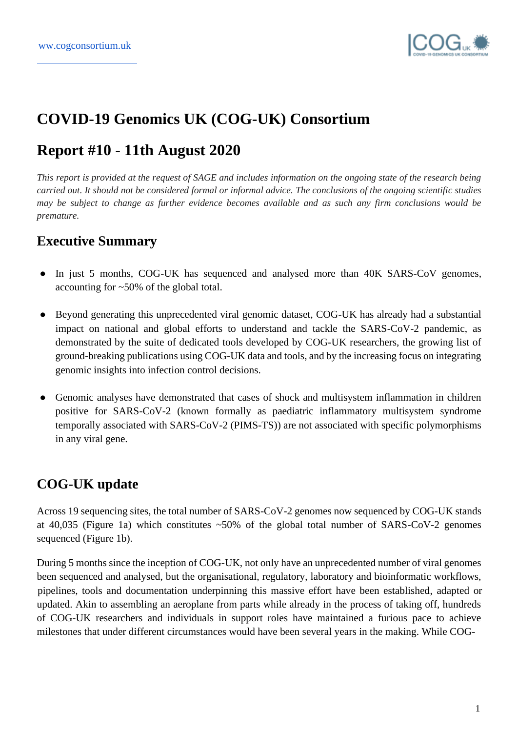

# **COVID-19 Genomics UK (COG-UK) Consortium**

# **Report #10 - 11th August 2020**

*This report is provided at the request of SAGE and includes information on the ongoing state of the research being carried out. It should not be considered formal or informal advice. The conclusions of the ongoing scientific studies may be subject to change as further evidence becomes available and as such any firm conclusions would be premature.*

# **Executive Summary**

- In just 5 months, COG-UK has sequenced and analysed more than 40K SARS-CoV genomes, accounting for ~50% of the global total.
- Beyond generating this unprecedented viral genomic dataset, COG-UK has already had a substantial impact on national and global efforts to understand and tackle the SARS-CoV-2 pandemic, as demonstrated by the suite of dedicated tools developed by COG-UK researchers, the growing list of ground-breaking publications using COG-UK data and tools, and by the increasing focus on integrating genomic insights into infection control decisions.
- Genomic analyses have demonstrated that cases of shock and multisystem inflammation in children positive for SARS-CoV-2 (known formally as paediatric inflammatory multisystem syndrome temporally associated with SARS-CoV-2 (PIMS-TS)) are not associated with specific polymorphisms in any viral gene.

# **COG-UK update**

Across 19 sequencing sites, the total number of SARS-CoV-2 genomes now sequenced by COG-UK stands at 40,035 (Figure 1a) which constitutes ~50% of the global total number of SARS-CoV-2 genomes sequenced (Figure 1b).

During 5 months since the inception of COG-UK, not only have an unprecedented number of viral genomes been sequenced and analysed, but the organisational, regulatory, laboratory and bioinformatic workflows, pipelines, tools and documentation underpinning this massive effort have been established, adapted or updated. Akin to assembling an aeroplane from parts while already in the process of taking off, hundreds of COG-UK researchers and individuals in support roles have maintained a furious pace to achieve milestones that under different circumstances would have been several years in the making. While COG-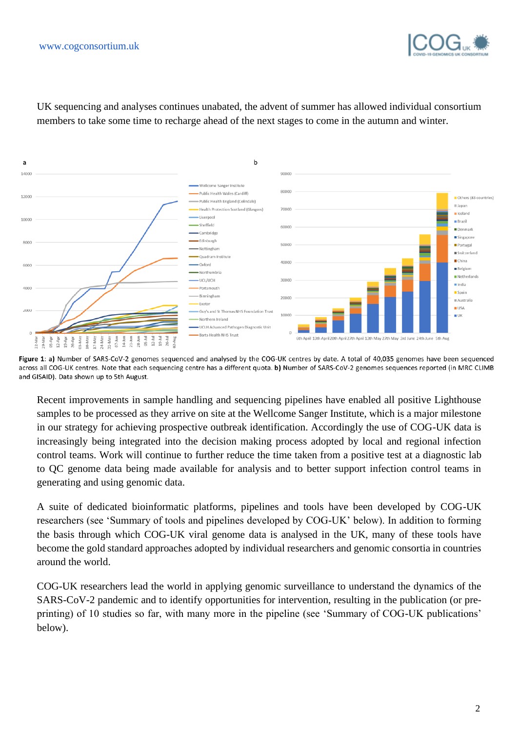



UK sequencing and analyses continues unabated, the advent of summer has allowed individual consortium members to take some time to recharge ahead of the next stages to come in the autumn and winter.

Figure 1: a) Number of SARS-CoV-2 genomes sequenced and analysed by the COG-UK centres by date. A total of 40,035 genomes have been sequenced across all COG-UK centres. Note that each sequencing centre has a different quota. b) Number of SARS-CoV-2 genomes sequences reported (in MRC CLIMB and GISAID). Data shown up to 5th August.

Recent improvements in sample handling and sequencing pipelines have enabled all positive Lighthouse samples to be processed as they arrive on site at the Wellcome Sanger Institute, which is a major milestone in our strategy for achieving prospective outbreak identification. Accordingly the use of COG-UK data is increasingly being integrated into the decision making process adopted by local and regional infection control teams. Work will continue to further reduce the time taken from a positive test at a diagnostic lab to QC genome data being made available for analysis and to better support infection control teams in generating and using genomic data.

A suite of dedicated bioinformatic platforms, pipelines and tools have been developed by COG-UK researchers (see 'Summary of tools and pipelines developed by COG-UK' below). In addition to forming the basis through which COG-UK viral genome data is analysed in the UK, many of these tools have become the gold standard approaches adopted by individual researchers and genomic consortia in countries around the world.

COG-UK researchers lead the world in applying genomic surveillance to understand the dynamics of the SARS-CoV-2 pandemic and to identify opportunities for intervention, resulting in the publication (or preprinting) of 10 studies so far, with many more in the pipeline (see 'Summary of COG-UK publications' below).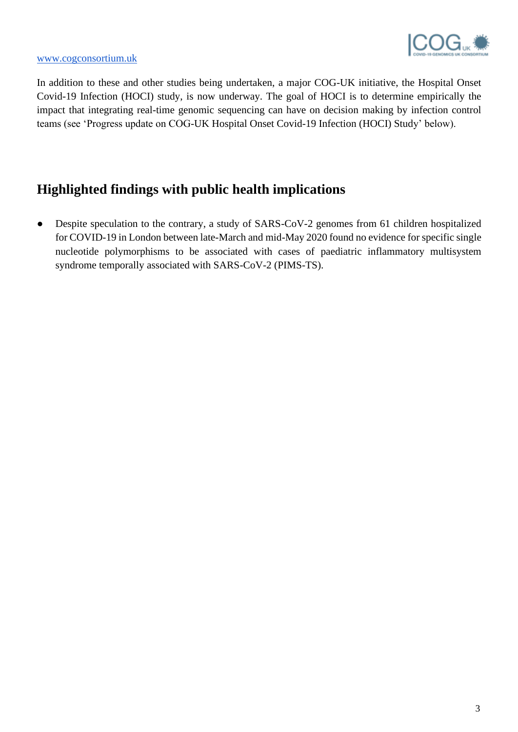

#### [www.cogconsortium.uk](https://www.cogconsortium.uk/data/)

In addition to these and other studies being undertaken, a major COG-UK initiative, the Hospital Onset Covid-19 Infection (HOCI) study, is now underway. The goal of HOCI is to determine empirically the impact that integrating real-time genomic sequencing can have on decision making by infection control teams (see 'Progress update on COG-UK Hospital Onset Covid-19 Infection (HOCI) Study' below).

# **Highlighted findings with public health implications**

• Despite speculation to the contrary, a study of SARS-CoV-2 genomes from 61 children hospitalized for COVID-19 in London between late-March and mid-May 2020 found no evidence for specific single nucleotide polymorphisms to be associated with cases of paediatric inflammatory multisystem syndrome temporally associated with SARS-CoV-2 (PIMS-TS).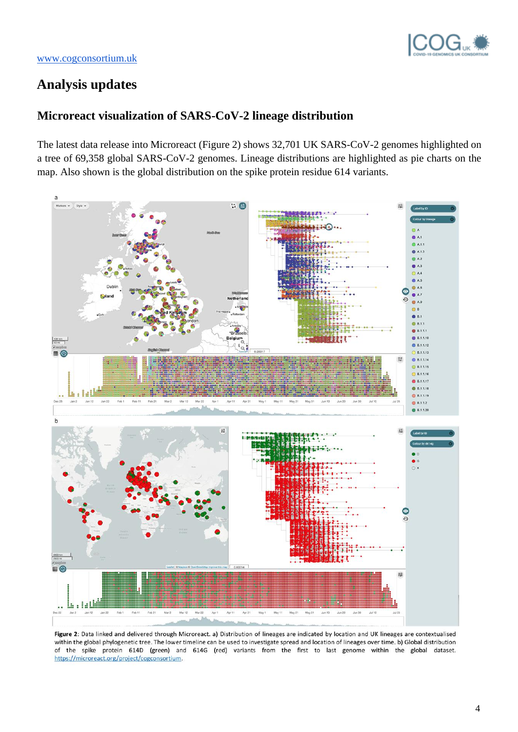

# **Analysis updates**

## **Microreact visualization of SARS-CoV-2 lineage distribution**

The latest data release into Microreact (Figure 2) shows 32,701 UK SARS-CoV-2 genomes highlighted on a tree of 69,358 global SARS-CoV-2 genomes. Lineage distributions are highlighted as pie charts on the map. Also shown is the global distribution on the spike protein residue 614 variants.



Figure 2: Data linked and delivered through Microreact. a) Distribution of lineages are indicated by location and UK lineages are contextualised within the global phylogenetic tree. The lower timeline can be used to investigate spread and location of lineages over time. b) Global distribution of the spike protein 614D (green) and 614G (red) variants from the first to last genome within the global dataset. https://microreact.org/project/cogconsortium.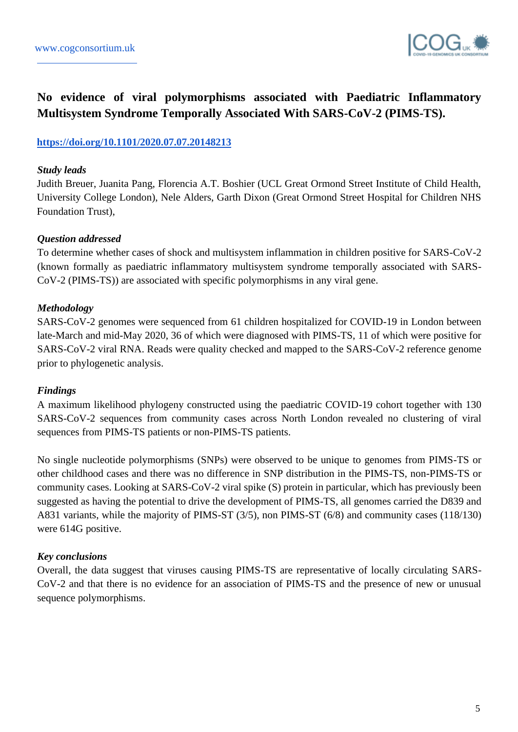

## **No evidence of viral polymorphisms associated with Paediatric Inflammatory Multisystem Syndrome Temporally Associated With SARS-CoV-2 (PIMS-TS).**

## **<https://doi.org/10.1101/2020.07.07.20148213>**

#### *Study leads*

Judith Breuer, Juanita Pang, Florencia A.T. Boshier (UCL Great Ormond Street Institute of Child Health, University College London), Nele Alders, Garth Dixon (Great Ormond Street Hospital for Children NHS Foundation Trust),

#### *Question addressed*

To determine whether cases of shock and multisystem inflammation in children positive for SARS-CoV-2 (known formally as paediatric inflammatory multisystem syndrome temporally associated with SARS-CoV-2 (PIMS-TS)) are associated with specific polymorphisms in any viral gene.

## *Methodology*

SARS-CoV-2 genomes were sequenced from 61 children hospitalized for COVID-19 in London between late-March and mid-May 2020, 36 of which were diagnosed with PIMS-TS, 11 of which were positive for SARS-CoV-2 viral RNA. Reads were quality checked and mapped to the SARS-CoV-2 reference genome prior to phylogenetic analysis.

## *Findings*

A maximum likelihood phylogeny constructed using the paediatric COVID-19 cohort together with 130 SARS-CoV-2 sequences from community cases across North London revealed no clustering of viral sequences from PIMS-TS patients or non-PIMS-TS patients.

No single nucleotide polymorphisms (SNPs) were observed to be unique to genomes from PIMS-TS or other childhood cases and there was no difference in SNP distribution in the PIMS-TS, non-PIMS-TS or community cases. Looking at SARS-CoV-2 viral spike (S) protein in particular, which has previously been suggested as having the potential to drive the development of PIMS-TS, all genomes carried the D839 and A831 variants, while the majority of PIMS-ST (3/5), non PIMS-ST (6/8) and community cases (118/130) were 614G positive.

## *Key conclusions*

Overall, the data suggest that viruses causing PIMS-TS are representative of locally circulating SARS-CoV-2 and that there is no evidence for an association of PIMS-TS and the presence of new or unusual sequence polymorphisms.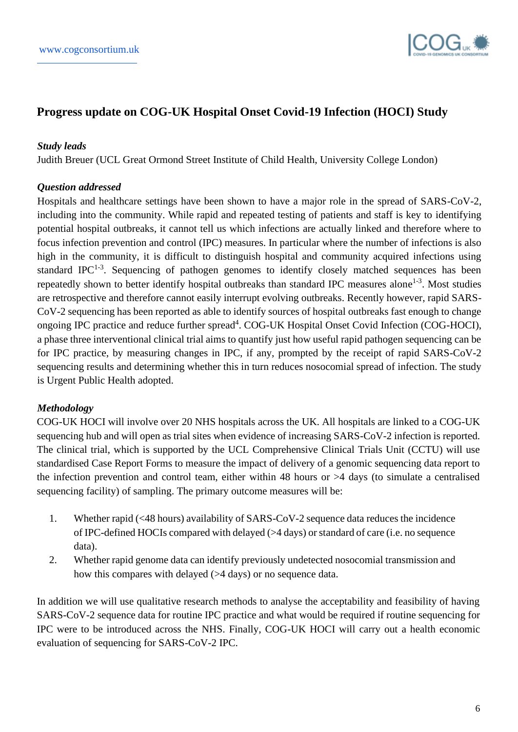

## **Progress update on COG-UK Hospital Onset Covid-19 Infection (HOCI) Study**

#### *Study leads*

Judith Breuer (UCL Great Ormond Street Institute of Child Health, University College London)

## *Question addressed*

Hospitals and healthcare settings have been shown to have a major role in the spread of SARS-CoV-2, including into the community. While rapid and repeated testing of patients and staff is key to identifying potential hospital outbreaks, it cannot tell us which infections are actually linked and therefore where to focus infection prevention and control (IPC) measures. In particular where the number of infections is also high in the community, it is difficult to distinguish hospital and community acquired infections using standard IPC<sup>1-3</sup>. Sequencing of pathogen genomes to identify closely matched sequences has been repeatedly shown to better identify hospital outbreaks than standard IPC measures alone<sup>1-3</sup>. Most studies are retrospective and therefore cannot easily interrupt evolving outbreaks. Recently however, rapid SARS-CoV-2 sequencing has been reported as able to identify sources of hospital outbreaks fast enough to change ongoing IPC practice and reduce further spread<sup>4</sup>. COG-UK Hospital Onset Covid Infection (COG-HOCI), a phase three interventional clinical trial aims to quantify just how useful rapid pathogen sequencing can be for IPC practice, by measuring changes in IPC, if any, prompted by the receipt of rapid SARS-CoV-2 sequencing results and determining whether this in turn reduces nosocomial spread of infection. The study is Urgent Public Health adopted.

## *Methodology*

COG-UK HOCI will involve over 20 NHS hospitals across the UK. All hospitals are linked to a COG-UK sequencing hub and will open as trial sites when evidence of increasing SARS-CoV-2 infection is reported. The clinical trial, which is supported by the UCL Comprehensive Clinical Trials Unit (CCTU) will use standardised Case Report Forms to measure the impact of delivery of a genomic sequencing data report to the infection prevention and control team, either within 48 hours or >4 days (to simulate a centralised sequencing facility) of sampling. The primary outcome measures will be:

- 1. Whether rapid (<48 hours) availability of SARS-CoV-2 sequence data reduces the incidence of IPC-defined HOCIs compared with delayed (>4 days) or standard of care (i.e. no sequence data).
- 2. Whether rapid genome data can identify previously undetected nosocomial transmission and how this compares with delayed ( $>4$  days) or no sequence data.

In addition we will use qualitative research methods to analyse the acceptability and feasibility of having SARS-CoV-2 sequence data for routine IPC practice and what would be required if routine sequencing for IPC were to be introduced across the NHS. Finally, COG-UK HOCI will carry out a health economic evaluation of sequencing for SARS-CoV-2 IPC.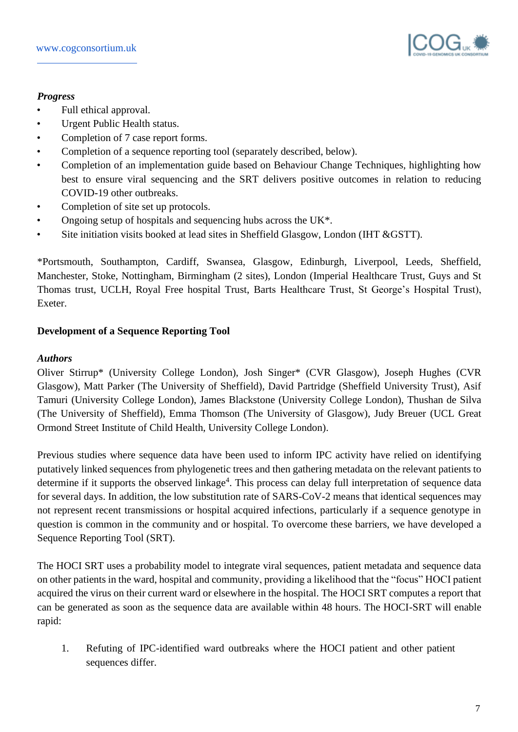

## *Progress*

- Full ethical approval.
- Urgent Public Health status.
- Completion of 7 case report forms.
- Completion of a sequence reporting tool (separately described, below).
- Completion of an implementation guide based on Behaviour Change Techniques, highlighting how best to ensure viral sequencing and the SRT delivers positive outcomes in relation to reducing COVID-19 other outbreaks.
- Completion of site set up protocols.
- Ongoing setup of hospitals and sequencing hubs across the UK<sup>\*</sup>.
- Site initiation visits booked at lead sites in Sheffield Glasgow, London (IHT &GSTT).

\*Portsmouth, Southampton, Cardiff, Swansea, Glasgow, Edinburgh, Liverpool, Leeds, Sheffield, Manchester, Stoke, Nottingham, Birmingham (2 sites), London (Imperial Healthcare Trust, Guys and St Thomas trust, UCLH, Royal Free hospital Trust, Barts Healthcare Trust, St George's Hospital Trust), Exeter.

## **Development of a Sequence Reporting Tool**

## *Authors*

Oliver Stirrup\* (University College London), Josh Singer\* (CVR Glasgow), Joseph Hughes (CVR Glasgow), Matt Parker (The University of Sheffield), David Partridge (Sheffield University Trust), Asif Tamuri (University College London), James Blackstone (University College London), Thushan de Silva (The University of Sheffield), Emma Thomson (The University of Glasgow), Judy Breuer (UCL Great Ormond Street Institute of Child Health, University College London).

Previous studies where sequence data have been used to inform IPC activity have relied on identifying putatively linked sequences from phylogenetic trees and then gathering metadata on the relevant patients to determine if it supports the observed linkage<sup>4</sup>. This process can delay full interpretation of sequence data for several days. In addition, the low substitution rate of SARS-CoV-2 means that identical sequences may not represent recent transmissions or hospital acquired infections, particularly if a sequence genotype in question is common in the community and or hospital. To overcome these barriers, we have developed a Sequence Reporting Tool (SRT).

The HOCI SRT uses a probability model to integrate viral sequences, patient metadata and sequence data on other patients in the ward, hospital and community, providing a likelihood that the "focus" HOCI patient acquired the virus on their current ward or elsewhere in the hospital. The HOCI SRT computes a report that can be generated as soon as the sequence data are available within 48 hours. The HOCI-SRT will enable rapid:

1. Refuting of IPC-identified ward outbreaks where the HOCI patient and other patient sequences differ.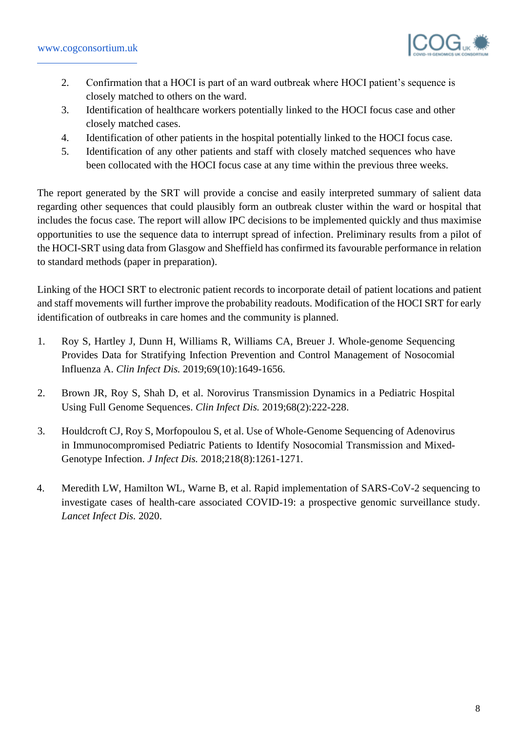

- 2. Confirmation that a HOCI is part of an ward outbreak where HOCI patient's sequence is closely matched to others on the ward.
- 3. Identification of healthcare workers potentially linked to the HOCI focus case and other closely matched cases.
- 4. Identification of other patients in the hospital potentially linked to the HOCI focus case.
- 5. Identification of any other patients and staff with closely matched sequences who have been collocated with the HOCI focus case at any time within the previous three weeks.

The report generated by the SRT will provide a concise and easily interpreted summary of salient data regarding other sequences that could plausibly form an outbreak cluster within the ward or hospital that includes the focus case. The report will allow IPC decisions to be implemented quickly and thus maximise opportunities to use the sequence data to interrupt spread of infection. Preliminary results from a pilot of the HOCI-SRT using data from Glasgow and Sheffield has confirmed its favourable performance in relation to standard methods (paper in preparation).

Linking of the HOCI SRT to electronic patient records to incorporate detail of patient locations and patient and staff movements will further improve the probability readouts. Modification of the HOCI SRT for early identification of outbreaks in care homes and the community is planned.

- 1. Roy S, Hartley J, Dunn H, Williams R, Williams CA, Breuer J. Whole-genome Sequencing Provides Data for Stratifying Infection Prevention and Control Management of Nosocomial Influenza A. *Clin Infect Dis.* 2019;69(10):1649-1656.
- 2. Brown JR, Roy S, Shah D, et al. Norovirus Transmission Dynamics in a Pediatric Hospital Using Full Genome Sequences. *Clin Infect Dis.* 2019;68(2):222-228.
- 3. Houldcroft CJ, Roy S, Morfopoulou S, et al. Use of Whole-Genome Sequencing of Adenovirus in Immunocompromised Pediatric Patients to Identify Nosocomial Transmission and Mixed-Genotype Infection. *J Infect Dis.* 2018;218(8):1261-1271.
- 4. Meredith LW, Hamilton WL, Warne B, et al. Rapid implementation of SARS-CoV-2 sequencing to investigate cases of health-care associated COVID-19: a prospective genomic surveillance study. *Lancet Infect Dis.* 2020.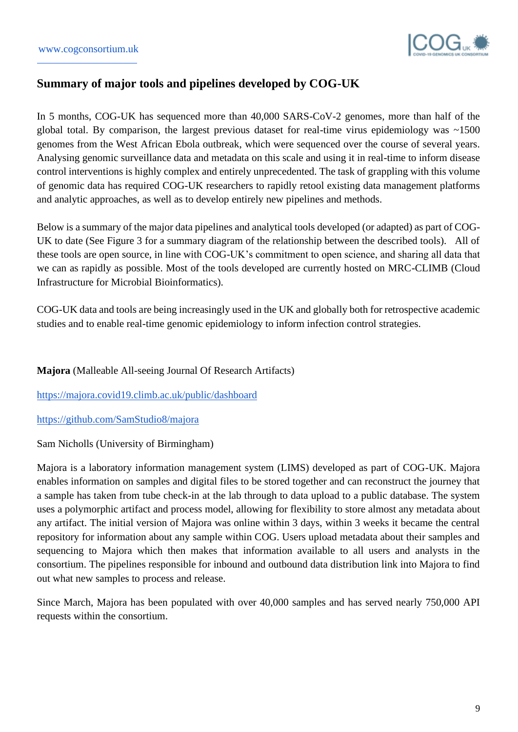

## **Summary of major tools and pipelines developed by COG-UK**

In 5 months, COG-UK has sequenced more than 40,000 SARS-CoV-2 genomes, more than half of the global total. By comparison, the largest previous dataset for real-time virus epidemiology was ~1500 genomes from the West African Ebola outbreak, which were sequenced over the course of several years. Analysing genomic surveillance data and metadata on this scale and using it in real-time to inform disease control interventions is highly complex and entirely unprecedented. The task of grappling with this volume of genomic data has required COG-UK researchers to rapidly retool existing data management platforms and analytic approaches, as well as to develop entirely new pipelines and methods.

Below is a summary of the major data pipelines and analytical tools developed (or adapted) as part of COG-UK to date (See Figure 3 for a summary diagram of the relationship between the described tools). All of these tools are open source, in line with COG-UK's commitment to open science, and sharing all data that we can as rapidly as possible. Most of the tools developed are currently hosted on MRC-CLIMB (Cloud Infrastructure for Microbial Bioinformatics).

COG-UK data and tools are being increasingly used in the UK and globally both for retrospective academic studies and to enable real-time genomic epidemiology to inform infection control strategies.

## **Majora** (Malleable All-seeing Journal Of Research Artifacts)

<https://majora.covid19.climb.ac.uk/public/dashboard>

## <https://github.com/SamStudio8/majora>

Sam Nicholls (University of Birmingham)

Majora is a laboratory information management system (LIMS) developed as part of COG-UK. Majora enables information on samples and digital files to be stored together and can reconstruct the journey that a sample has taken from tube check-in at the lab through to data upload to a public database. The system uses a polymorphic artifact and process model, allowing for flexibility to store almost any metadata about any artifact. The initial version of Majora was online within 3 days, within 3 weeks it became the central repository for information about any sample within COG. Users upload metadata about their samples and sequencing to Majora which then makes that information available to all users and analysts in the consortium. The pipelines responsible for inbound and outbound data distribution link into Majora to find out what new samples to process and release.

Since March, Majora has been populated with over 40,000 samples and has served nearly 750,000 API requests within the consortium.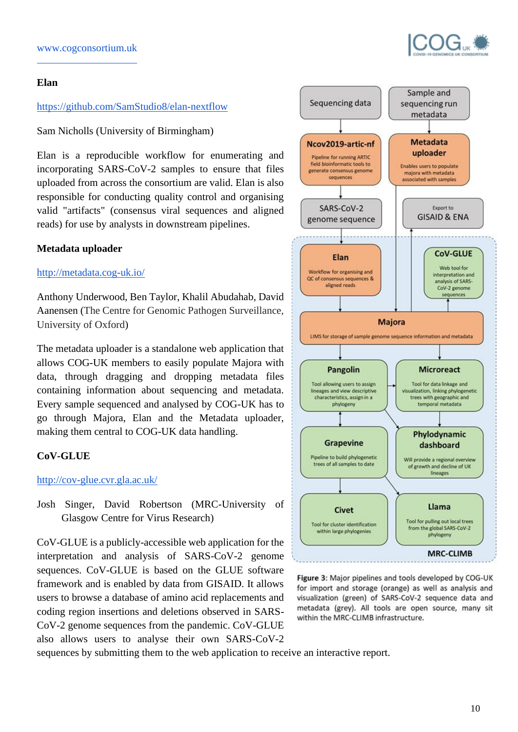#### **Elan**

## <https://github.com/SamStudio8/elan-nextflow>

Sam Nicholls (University of Birmingham)

Elan is a reproducible workflow for enumerating and incorporating SARS-CoV-2 samples to ensure that files uploaded from across the consortium are valid. Elan is also responsible for conducting quality control and organising valid "artifacts" (consensus viral sequences and aligned reads) for use by analysts in downstream pipelines.

## **Metadata uploader**

## <http://metadata.cog-uk.io/>

Anthony Underwood, Ben Taylor, Khalil Abudahab, David Aanensen (The Centre for Genomic Pathogen Surveillance, University of Oxford)

The metadata uploader is a standalone web application that allows COG-UK members to easily populate Majora with data, through dragging and dropping metadata files containing information about sequencing and metadata. Every sample sequenced and analysed by COG-UK has to go through Majora, Elan and the Metadata uploader, making them central to COG-UK data handling.

## **CoV-GLUE**

## [http://cov-glue.cvr.gla.ac.uk/](http://cov-glue.cvr.gla.ac.uk/#/home)

Josh Singer, David Robertson (MRC-University of Glasgow Centre for Virus Research)

CoV-GLUE is a publicly-accessible web application for the interpretation and analysis of SARS-CoV-2 genome sequences. CoV-GLUE is based on the GLUE software framework and is enabled by data from GISAID. It allows users to browse a database of amino acid replacements and coding region insertions and deletions observed in SARS-CoV-2 genome sequences from the pandemic. CoV-GLUE also allows users to analyse their own SARS-CoV-2



Figure 3: Major pipelines and tools developed by COG-UK for import and storage (orange) as well as analysis and visualization (green) of SARS-CoV-2 sequence data and metadata (grey). All tools are open source, many sit within the MRC-CLIMB infrastructure.

sequences by submitting them to the web application to receive an interactive report.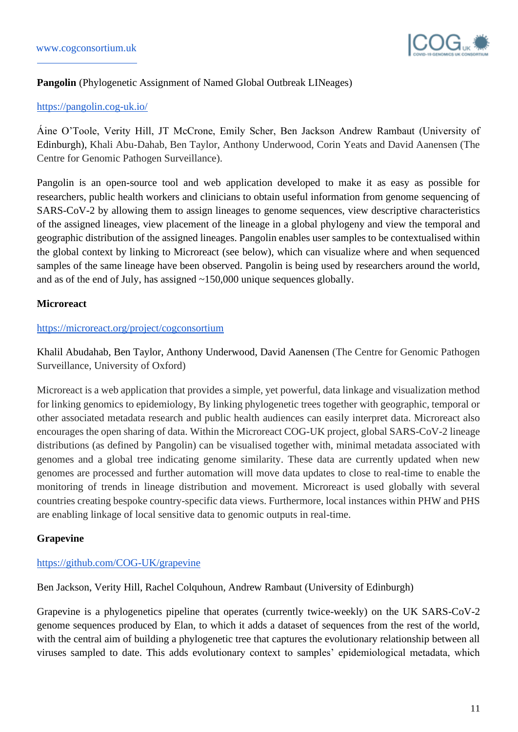

## **Pangolin** (Phylogenetic Assignment of Named Global Outbreak LINeages)

## <https://pangolin.cog-uk.io/>

Áine O'Toole, Verity Hill, JT McCrone, Emily Scher, Ben Jackson Andrew Rambaut (University of Edinburgh), Khali Abu-Dahab, Ben Taylor, Anthony Underwood, Corin Yeats and David Aanensen (The Centre for Genomic Pathogen Surveillance).

Pangolin is an open-source tool and web application developed to make it as easy as possible for researchers, public health workers and clinicians to obtain useful information from genome sequencing of SARS-CoV-2 by allowing them to assign lineages to genome sequences, view descriptive characteristics of the assigned lineages, view placement of the lineage in a global phylogeny and view the temporal and geographic distribution of the assigned lineages. Pangolin enables user samples to be contextualised within the global context by linking to Microreact (see below), which can visualize where and when sequenced samples of the same lineage have been observed. Pangolin is being used by researchers around the world, and as of the end of July, has assigned ~150,000 unique sequences globally.

## **Microreact**

#### <https://microreact.org/project/cogconsortium>

Khalil Abudahab, Ben Taylor, Anthony Underwood, David Aanensen (The Centre for Genomic Pathogen Surveillance, University of Oxford)

Microreact is a web application that provides a simple, yet powerful, data linkage and visualization method for linking genomics to epidemiology, By linking phylogenetic trees together with geographic, temporal or other associated metadata research and public health audiences can easily interpret data. Microreact also encourages the open sharing of data. Within the Microreact COG-UK project, global SARS-CoV-2 lineage distributions (as defined by Pangolin) can be visualised together with, minimal metadata associated with genomes and a global tree indicating genome similarity. These data are currently updated when new genomes are processed and further automation will move data updates to close to real-time to enable the monitoring of trends in lineage distribution and movement. Microreact is used globally with several countries creating bespoke country-specific data views. Furthermore, local instances within PHW and PHS are enabling linkage of local sensitive data to genomic outputs in real-time.

## **Grapevine**

## <https://github.com/COG-UK/grapevine>

Ben Jackson, Verity Hill, Rachel Colquhoun, Andrew Rambaut (University of Edinburgh)

Grapevine is a phylogenetics pipeline that operates (currently twice-weekly) on the UK SARS-CoV-2 genome sequences produced by Elan, to which it adds a dataset of sequences from the rest of the world, with the central aim of building a phylogenetic tree that captures the evolutionary relationship between all viruses sampled to date. This adds evolutionary context to samples' epidemiological metadata, which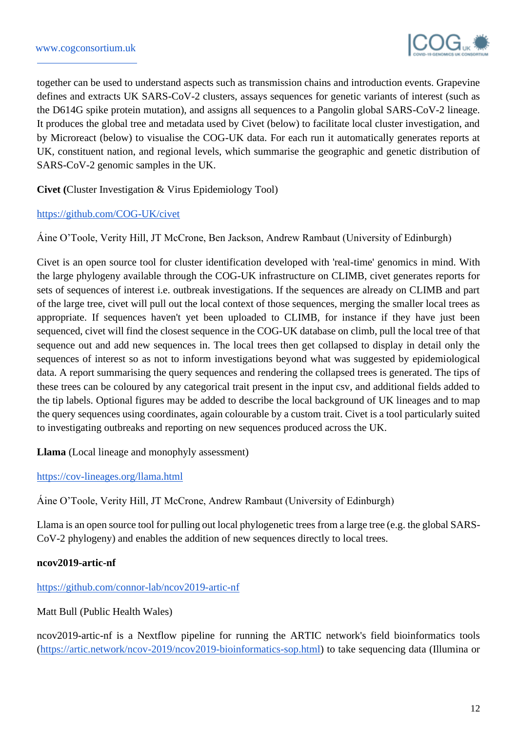

together can be used to understand aspects such as transmission chains and introduction events. Grapevine defines and extracts UK SARS-CoV-2 clusters, assays sequences for genetic variants of interest (such as the D614G spike protein mutation), and assigns all sequences to a Pangolin global SARS-CoV-2 lineage. It produces the global tree and metadata used by Civet (below) to facilitate local cluster investigation, and by Microreact (below) to visualise the COG-UK data. For each run it automatically generates reports at UK, constituent nation, and regional levels, which summarise the geographic and genetic distribution of SARS-CoV-2 genomic samples in the UK.

**Civet (**Cluster Investigation & Virus Epidemiology Tool)

## <https://github.com/COG-UK/civet>

Áine O'Toole, Verity Hill, JT McCrone, Ben Jackson, Andrew Rambaut (University of Edinburgh)

Civet is an open source tool for cluster identification developed with 'real-time' genomics in mind. With the large phylogeny available through the COG-UK infrastructure on CLIMB, civet generates reports for sets of sequences of interest i.e. outbreak investigations. If the sequences are already on CLIMB and part of the large tree, civet will pull out the local context of those sequences, merging the smaller local trees as appropriate. If sequences haven't yet been uploaded to CLIMB, for instance if they have just been sequenced, civet will find the closest sequence in the COG-UK database on climb, pull the local tree of that sequence out and add new sequences in. The local trees then get collapsed to display in detail only the sequences of interest so as not to inform investigations beyond what was suggested by epidemiological data. A report summarising the query sequences and rendering the collapsed trees is generated. The tips of these trees can be coloured by any categorical trait present in the input csv, and additional fields added to the tip labels. Optional figures may be added to describe the local background of UK lineages and to map the query sequences using coordinates, again colourable by a custom trait. Civet is a tool particularly suited to investigating outbreaks and reporting on new sequences produced across the UK.

**Llama** (Local lineage and monophyly assessment)

## <https://cov-lineages.org/llama.html>

Áine O'Toole, Verity Hill, JT McCrone, Andrew Rambaut (University of Edinburgh)

Llama is an open source tool for pulling out local phylogenetic trees from a large tree (e.g. the global SARS-CoV-2 phylogeny) and enables the addition of new sequences directly to local trees.

## **ncov2019-artic-nf**

## <https://github.com/connor-lab/ncov2019-artic-nf>

Matt Bull (Public Health Wales)

ncov2019-artic-nf is a Nextflow pipeline for running the ARTIC network's field bioinformatics tools [\(https://artic.network/ncov-2019/ncov2019-bioinformatics-sop.html\)](https://artic.network/ncov-2019/ncov2019-bioinformatics-sop.html) to take sequencing data (Illumina or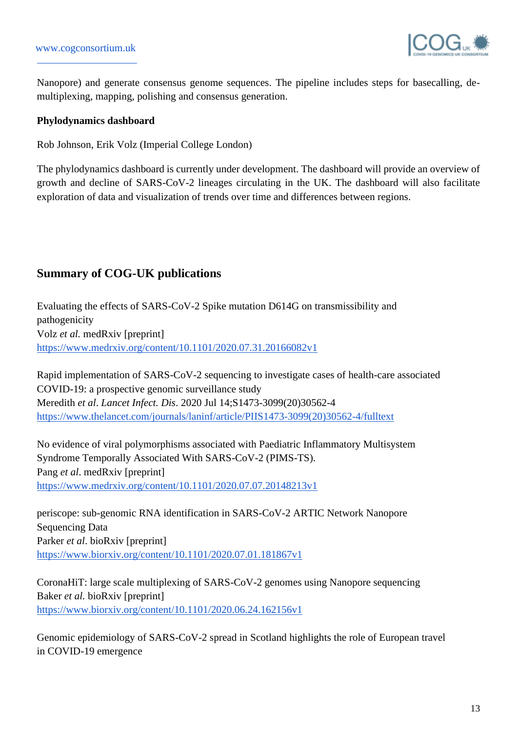

Nanopore) and generate consensus genome sequences. The pipeline includes steps for basecalling, demultiplexing, mapping, polishing and consensus generation.

## **Phylodynamics dashboard**

Rob Johnson, Erik Volz (Imperial College London)

The phylodynamics dashboard is currently under development. The dashboard will provide an overview of growth and decline of SARS-CoV-2 lineages circulating in the UK. The dashboard will also facilitate exploration of data and visualization of trends over time and differences between regions.

## **Summary of COG-UK publications**

Evaluating the effects of SARS-CoV-2 Spike mutation D614G on transmissibility and pathogenicity Volz *et al.* medRxiv [preprint] <https://www.medrxiv.org/content/10.1101/2020.07.31.20166082v1>

Rapid implementation of SARS-CoV-2 sequencing to investigate cases of health-care associated COVID-19: a prospective genomic surveillance study Meredith *et al*. *Lancet Infect. Dis*. 2020 Jul 14;S1473-3099(20)30562-4 [https://www.thelancet.com/journals/laninf/article/PIIS1473-3099\(20\)30562-4/fulltext](https://www.thelancet.com/journals/laninf/article/PIIS1473-3099(20)30562-4/fulltext)

No evidence of viral polymorphisms associated with Paediatric Inflammatory Multisystem Syndrome Temporally Associated With SARS-CoV-2 (PIMS-TS). Pang *et al*. medRxiv [preprint] <https://www.medrxiv.org/content/10.1101/2020.07.07.20148213v1>

periscope: sub-genomic RNA identification in SARS-CoV-2 ARTIC Network Nanopore Sequencing Data Parker *et al*. bioRxiv [preprint] <https://www.biorxiv.org/content/10.1101/2020.07.01.181867v1>

CoronaHiT: large scale multiplexing of SARS-CoV-2 genomes using Nanopore sequencing Baker *et al.* bioRxiv [preprint] [https://www.biorxiv.org/content/10.1101/2020.06.24.162156v1](https://www.biorxiv.org/content/10.1101/2020.06.24.162156v1.full.pdf+html)

Genomic epidemiology of SARS-CoV-2 spread in Scotland highlights the role of European travel in COVID-19 emergence